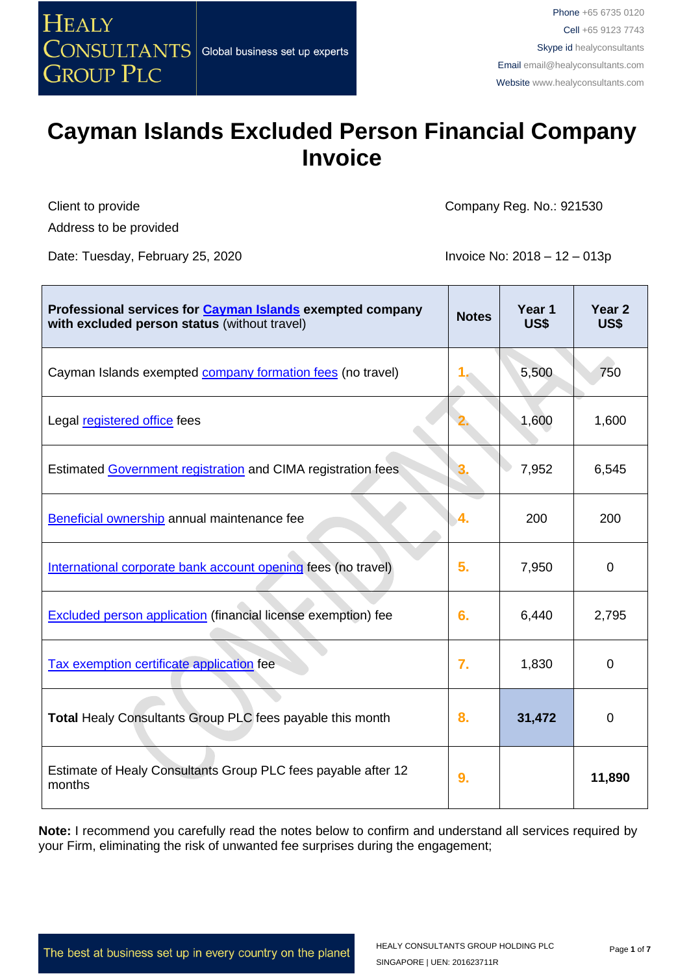

Client to provide Address to be provided Company Reg. No.: 921530

Date: Tuesday, February 25, 2020 **Invoice No: 2018 – 12 – 013p** 

| Professional services for <b>Cayman Islands</b> exempted company<br>with excluded person status (without travel) | <b>Notes</b> | Year 1<br>US\$ | Year 2<br>US\$ |
|------------------------------------------------------------------------------------------------------------------|--------------|----------------|----------------|
| Cayman Islands exempted <b>company formation fees</b> (no travel)                                                |              | 5,500          | 750            |
| Legal registered office fees                                                                                     |              | 1,600          | 1,600          |
| Estimated Government registration and CIMA registration fees                                                     |              | 7,952          | 6,545          |
| Beneficial ownership annual maintenance fee                                                                      | -4.          | 200            | 200            |
| International corporate bank account opening fees (no travel)                                                    | 5.           | 7,950          | $\Omega$       |
| <b>Excluded person application (financial license exemption) fee</b>                                             | 6.           | 6,440          | 2,795          |
| Tax exemption certificate application fee                                                                        | 7.           | 1,830          | 0              |
| <b>Total Healy Consultants Group PLC fees payable this month</b>                                                 | 8.           | 31,472         | $\Omega$       |
| Estimate of Healy Consultants Group PLC fees payable after 12<br>months                                          | 9.           |                | 11,890         |

**Note:** I recommend you carefully read the notes below to confirm and understand all services required by your Firm, eliminating the risk of unwanted fee surprises during the engagement;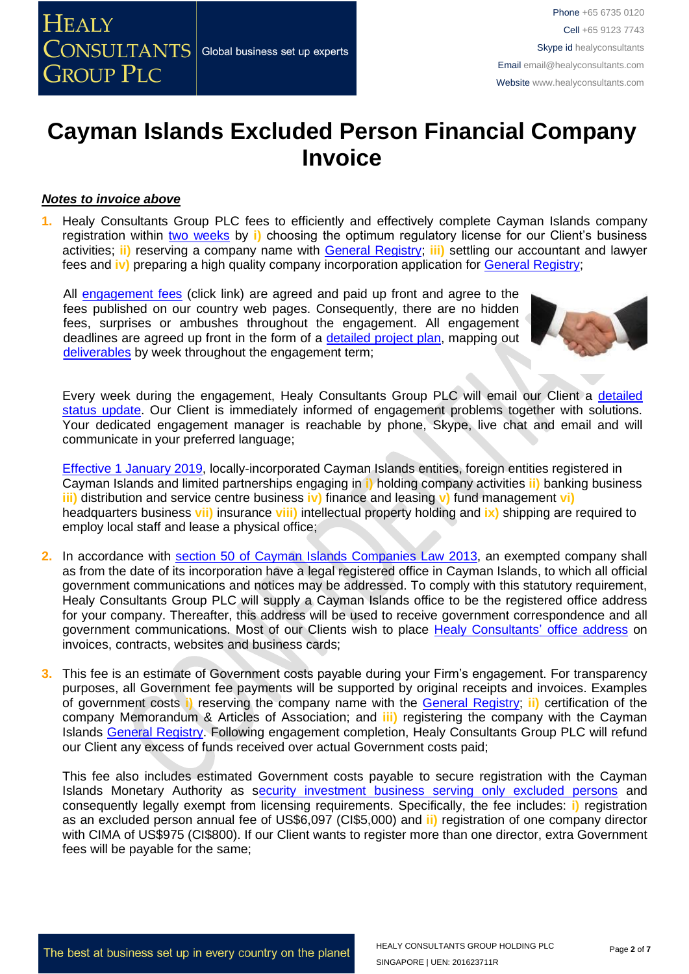#### *Notes to invoice above*

**1.** Healy Consultants Group PLC fees to efficiently and effectively complete Cayman Islands company registration within two [weeks](http://www.healyconsultants.com/cayman-islands-company-registration/fees-timelines/#timelines) by **i)** choosing the optimum regulatory license for our Client's business activities; **ii)** reserving a company name with [General Registry;](http://www.ciregistry.gov.ky/portal/page/portal/reghome) **iii)** settling our accountant and lawyer fees and **iv**) preparing a high quality company incorporation application for [General Registry;](http://www.ciregistry.gov.ky/portal/page/portal/reghome)

All [engagement fees](http://www.healyconsultants.com/company-registration-fees/) (click link) are agreed and paid up front and agree to the fees published on our country web pages. Consequently, there are no hidden fees, surprises or ambushes throughout the engagement. All engagement deadlines are agreed up front in the form of a [detailed project plan,](http://www.healyconsultants.com/index-important-links/example-project-plan/) mapping out [deliverables](http://www.healyconsultants.com/deliverables-to-our-clients/) by week throughout the engagement term;



Every week during the engagement, Healy Consultants Group PLC will email our Client a [detailed](http://www.healyconsultants.com/index-important-links/weekly-engagement-status-email/)  [status update.](http://www.healyconsultants.com/index-important-links/weekly-engagement-status-email/) Our Client is immediately informed of engagement problems together with solutions. Your dedicated engagement manager is reachable by phone, Skype, live chat and email and will communicate in your preferred language;

[Effective 1 January 2019,](http://www.gov.ky/portal/pls/portal/docs/1/12738510.PDF) locally-incorporated Cayman Islands entities, foreign entities registered in Cayman Islands and limited partnerships engaging in **i)** holding company activities **ii)** banking business **iii)** distribution and service centre business **iv)** finance and leasing **v)** fund management **vi)** headquarters business **vii)** insurance **viii)** intellectual property holding and **ix)** shipping are required to employ local staff and lease a physical office;

- **2.** In accordance with [section 50 of Cayman Islands Companies Law 2013,](http://www.cimoney.com.ky/WorkArea/DownloadAsset.aspx?id=2147484123) an exempted company shall as from the date of its incorporation have a legal registered office in Cayman Islands, to which all official government communications and notices may be addressed. To comply with this statutory requirement, Healy Consultants Group PLC will supply a Cayman Islands office to be the registered office address for your company. Thereafter, this address will be used to receive government correspondence and all government communications. Most of our Clients wish to place [Healy Consultants'](http://www.healyconsultants.com/corporate-outsourcing-services/company-secretary-and-legal-registered-office/) office address on invoices, contracts, websites and business cards;
- **3.** This fee is an estimate of Government costs payable during your Firm's engagement. For transparency purposes, all Government fee payments will be supported by original receipts and invoices. Examples of government costs **i)** reserving the company name with the [General Registry;](http://www.ciregistry.gov.ky/portal/page/portal/reghome) **ii)** certification of the company Memorandum & Articles of Association; and **iii)** registering the company with the Cayman Islands [General Registry.](http://www.ciregistry.gov.ky/portal/page/portal/reghome) Following engagement completion, Healy Consultants Group PLC will refund our Client any excess of funds received over actual Government costs paid;

This fee also includes estimated Government costs payable to secure registration with the Cayman Islands Monetary Authority as [security investment business serving only excluded persons](http://www.cima.ky/securities-licensing-authorisation-requirements) and consequently legally exempt from licensing requirements. Specifically, the fee includes: **i)** registration as an excluded person annual fee of US\$6,097 (CI\$5,000) and **ii)** registration of one company director with CIMA of US\$975 (CI\$800). If our Client wants to register more than one director, extra Government fees will be payable for the same;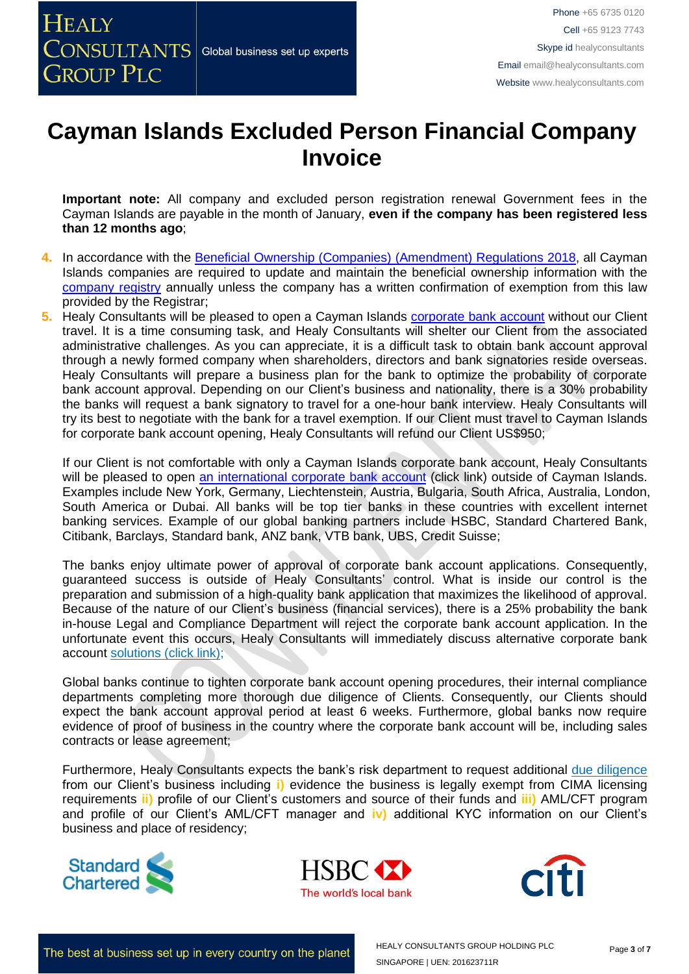**Important note:** All company and excluded person registration renewal Government fees in the Cayman Islands are payable in the month of January, **even if the company has been registered less than 12 months ago**;

- **4.** In accordance with the [Beneficial Ownership \(Companies\) \(Amendment\) Regulations 2018,](http://www.gov.ky/portal/pls/portal/docs/1/12600381.PDF) all Cayman Islands companies are required to update and maintain the beneficial ownership information with the [company registry](https://www.ciregistry.ky/) annually unless the company has a written confirmation of exemption from this law provided by the Registrar;
- **5.** Healy Consultants will be pleased to open a Cayman Islands [corporate bank account](http://www.healyconsultants.com/country-comparisons/corporate-banking-options-without-travel/) without our Client travel. It is a time consuming task, and Healy Consultants will shelter our Client from the associated administrative challenges. As you can appreciate, it is a difficult task to obtain bank account approval through a newly formed company when shareholders, directors and bank signatories reside overseas. Healy Consultants will prepare a business plan for the bank to optimize the probability of corporate bank account approval. Depending on our Client's business and nationality, there is a 30% probability the banks will request a bank signatory to travel for a one-hour bank interview. Healy Consultants will try its best to negotiate with the bank for a travel exemption. If our Client must travel to Cayman Islands for corporate bank account opening, Healy Consultants will refund our Client US\$950;

If our Client is not comfortable with only a Cayman Islands corporate bank account, Healy Consultants will be pleased to open [an international corporate bank account](http://www.healyconsultants.com/international-banking/) (click link) outside of Cayman Islands. Examples include New York, Germany, Liechtenstein, Austria, Bulgaria, South Africa, Australia, London, South America or Dubai. All banks will be top tier banks in these countries with excellent internet banking services. Example of our global banking partners include HSBC, Standard Chartered Bank, Citibank, Barclays, Standard bank, ANZ bank, VTB bank, UBS, Credit Suisse;

The banks enjoy ultimate power of approval of corporate bank account applications. Consequently, guaranteed success is outside of Healy Consultants' control. What is inside our control is the preparation and submission of a high-quality bank application that maximizes the likelihood of approval. Because of the nature of our Client's business (financial services), there is a 25% probability the bank in-house Legal and Compliance Department will reject the corporate bank account application. In the unfortunate event this occurs, Healy Consultants will immediately discuss alternative corporate bank account [solutions \(click link\);](http://www.healyconsultants.com/global-corporate-banking-for-resident-company/)

Global banks continue to tighten corporate bank account opening procedures, their internal compliance departments completing more thorough due diligence of Clients. Consequently, our Clients should expect the bank account approval period at least 6 weeks. Furthermore, global banks now require evidence of proof of business in the country where the corporate bank account will be, including sales contracts or lease agreement;

Furthermore, Healy Consultants expects the bank's risk department to request additional [due diligence](http://www.healyconsultants.com/due-diligence/) from our Client's business including **i)** evidence the business is legally exempt from CIMA licensing requirements **ii)** profile of our Client's customers and source of their funds and **iii)** AML/CFT program and profile of our Client's AML/CFT manager and **iv)** additional KYC information on our Client's business and place of residency;







The best at business set up in every country on the planet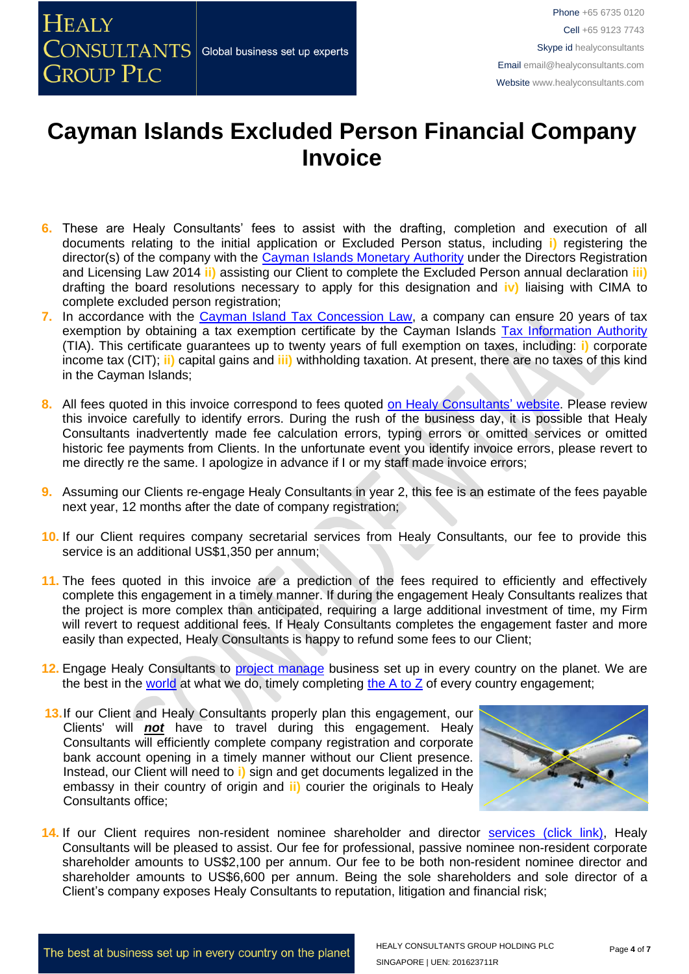- **6.** These are Healy Consultants' fees to assist with the drafting, completion and execution of all documents relating to the initial application or Excluded Person status, including **i)** registering the director(s) of the company with the [Cayman Islands Monetary Authority](http://www.cimoney.com.ky/regulated_sectors/reg_sec_ra.aspx?id=278) under the Directors Registration and Licensing Law 2014 **ii)** assisting our Client to complete the Excluded Person annual declaration **iii)** drafting the board resolutions necessary to apply for this designation and **iv)** liaising with CIMA to complete excluded person registration;
- 7. In accordance with the [Cayman Island Tax Concession Law,](http://www.gov.ky/portal/pls/portal/docs/1/11524841.PDF) a company can ensure 20 years of tax exemption by obtaining a tax exemption certificate by the Cayman Islands [Tax Information Authority](http://www.tia.gov.ky/) (TIA). This certificate guarantees up to twenty years of full exemption on taxes, including: **i)** corporate income tax (CIT); **ii)** capital gains and **iii)** withholding taxation. At present, there are no taxes of this kind in the Cayman Islands;
- 8. All fees quoted in this invoice correspond to fees quoted [on Healy Consultants'](http://www.healyconsultants.com/company-registration-fees/) website. Please review this invoice carefully to identify errors. During the rush of the business day, it is possible that Healy Consultants inadvertently made fee calculation errors, typing errors or omitted services or omitted historic fee payments from Clients. In the unfortunate event you identify invoice errors, please revert to me directly re the same. I apologize in advance if I or my staff made invoice errors;
- **9.** Assuming our Clients re-engage Healy Consultants in year 2, this fee is an estimate of the fees payable next year, 12 months after the date of company registration;
- **10.** If our Client requires company secretarial services from Healy Consultants, our fee to provide this service is an additional US\$1,350 per annum;
- **11.** The fees quoted in this invoice are a prediction of the fees required to efficiently and effectively complete this engagement in a timely manner. If during the engagement Healy Consultants realizes that the project is more complex than anticipated, requiring a large additional investment of time, my Firm will revert to request additional fees. If Healy Consultants completes the engagement faster and more easily than expected, Healy Consultants is happy to refund some fees to our Client;
- **12.** Engage Healy Consultants to [project manage](http://www.healyconsultants.com/project-manage-engagements/) business set up in every country on the planet. We are the best in the [world](http://www.healyconsultants.com/best-in-the-world/) at what we do, timely completing [the A to Z](http://www.healyconsultants.com/a-to-z-of-business-set-up/) of every country engagement;
- **13.** If our Client and Healy Consultants properly plan this engagement, our Clients' will *not* have to travel during this engagement. Healy Consultants will efficiently complete company registration and corporate bank account opening in a timely manner without our Client presence. Instead, our Client will need to **i)** sign and get documents legalized in the embassy in their country of origin and **ii)** courier the originals to Healy Consultants office;



14. If our Client requires non-resident nominee shareholder and director services [\(click link\),](http://www.healyconsultants.com/corporate-outsourcing-services/nominee-shareholders-directors/) Healy Consultants will be pleased to assist. Our fee for professional, passive nominee non-resident corporate shareholder amounts to US\$2,100 per annum. Our fee to be both non-resident nominee director and shareholder amounts to US\$6,600 per annum. Being the sole shareholders and sole director of a Client's company exposes Healy Consultants to reputation, litigation and financial risk;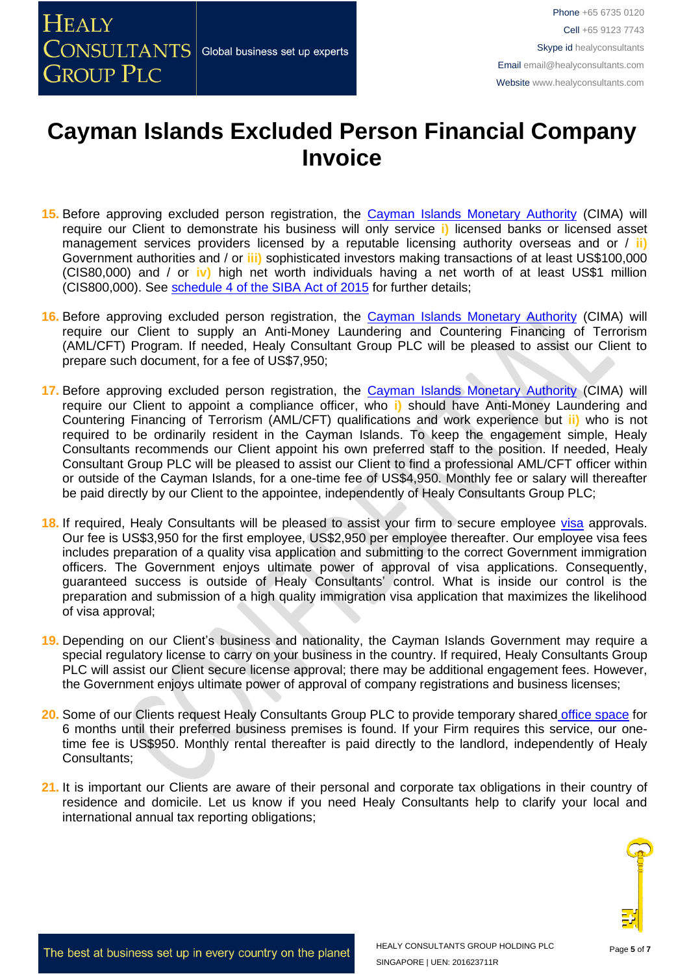- **15.** Before approving excluded person registration, the [Cayman Islands Monetary Authority](http://www.cima.ky/) (CIMA) will require our Client to demonstrate his business will only service **i)** licensed banks or licensed asset management services providers licensed by a reputable licensing authority overseas and or / **ii)** Government authorities and / or **iii)** sophisticated investors making transactions of at least US\$100,000 (CIS80,000) and / or **iv)** high net worth individuals having a net worth of at least US\$1 million (CIS800,000). See [schedule 4 of the SIBA Act of 2015](http://www.cima.ky/upimages/commonfiles/1499349906SecuritiesInvestmentBusinessLaw2015Revision.pdf) for further details;
- **16.** Before approving excluded person registration, the [Cayman Islands Monetary Authority](http://www.cima.ky/) (CIMA) will require our Client to supply an Anti-Money Laundering and Countering Financing of Terrorism (AML/CFT) Program. If needed, Healy Consultant Group PLC will be pleased to assist our Client to prepare such document, for a fee of US\$7,950;
- 17. Before approving excluded person registration, the [Cayman Islands Monetary Authority](http://www.cima.ky/) (CIMA) will require our Client to appoint a compliance officer, who **i)** should have Anti-Money Laundering and Countering Financing of Terrorism (AML/CFT) qualifications and work experience but **ii)** who is not required to be ordinarily resident in the Cayman Islands. To keep the engagement simple, Healy Consultants recommends our Client appoint his own preferred staff to the position. If needed, Healy Consultant Group PLC will be pleased to assist our Client to find a professional AML/CFT officer within or outside of the Cayman Islands, for a one-time fee of US\$4,950. Monthly fee or salary will thereafter be paid directly by our Client to the appointee, independently of Healy Consultants Group PLC;
- 18. If required, Healy Consultants will be pleased to assist your firm to secure employee [visa](http://www.healyconsultants.com/corporate-advisory-services/migration/) approvals. Our fee is US\$3,950 for the first employee, US\$2,950 per employee thereafter. Our employee visa fees includes preparation of a quality visa application and submitting to the correct Government immigration officers. The Government enjoys ultimate power of approval of visa applications. Consequently, guaranteed success is outside of Healy Consultants' control. What is inside our control is the preparation and submission of a high quality immigration visa application that maximizes the likelihood of visa approval;
- **19.** Depending on our Client's business and nationality, the Cayman Islands Government may require a special regulatory license to carry on your business in the country. If required, Healy Consultants Group PLC will assist our Client secure license approval; there may be additional engagement fees. However, the Government enjoys ultimate power of approval of company registrations and business licenses;
- **20.** Some of our Clients request Healy Consultants Group PLC to provide temporary shared [office space](http://www.healyconsultants.com/virtual-office/) for 6 months until their preferred business premises is found. If your Firm requires this service, our onetime fee is US\$950. Monthly rental thereafter is paid directly to the landlord, independently of Healy Consultants;
- **21.** It is important our Clients are aware of their personal and corporate tax obligations in their country of residence and domicile. Let us know if you need Healy Consultants help to clarify your local and international annual tax reporting obligations;

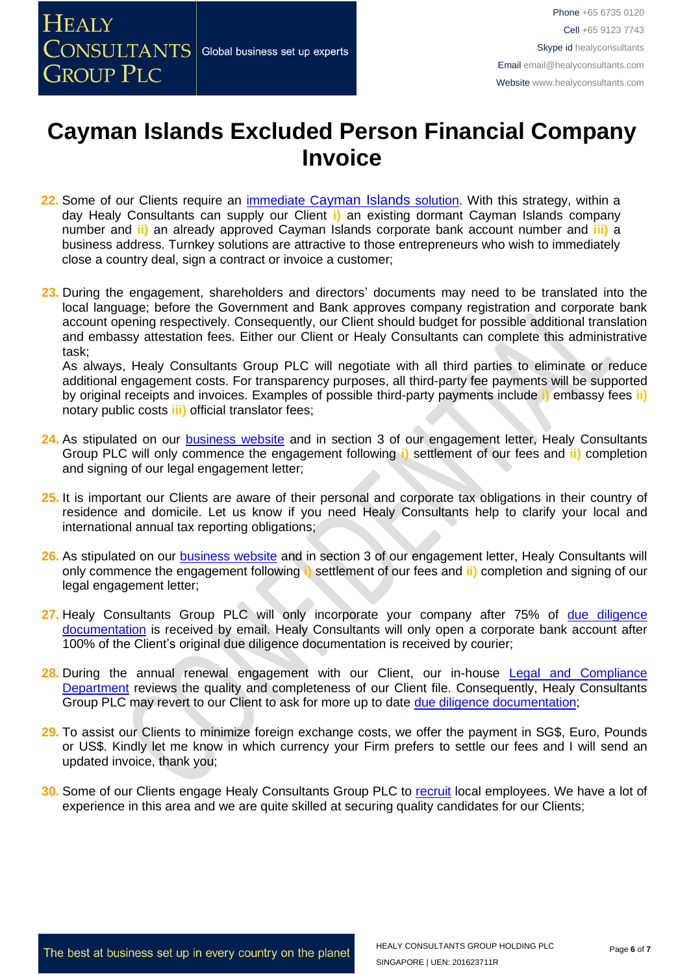- **22.** Some of our Clients require an immediate C[ayman Islands](http://www.healyconsultants.com/turnkey-solutions/) solution. With this strategy, within a day Healy Consultants can supply our Client **i)** an existing dormant Cayman Islands company number and **ii)** an already approved Cayman Islands corporate bank account number and **iii)** a business address. Turnkey solutions are attractive to those entrepreneurs who wish to immediately close a country deal, sign a contract or invoice a customer;
- **23.** During the engagement, shareholders and directors' documents may need to be translated into the local language; before the Government and Bank approves company registration and corporate bank account opening respectively. Consequently, our Client should budget for possible additional translation and embassy attestation fees. Either our Client or Healy Consultants can complete this administrative task;

As always, Healy Consultants Group PLC will negotiate with all third parties to eliminate or reduce additional engagement costs. For transparency purposes, all third-party fee payments will be supported by original receipts and invoices. Examples of possible third-party payments include **i)** embassy fees **ii)** notary public costs **iii)** official translator fees;

- **24.** As stipulated on our [business website](http://www.healyconsultants.com/) and in section 3 of our engagement letter, Healy Consultants Group PLC will only commence the engagement following **i)** settlement of our fees and **ii)** completion and signing of our legal engagement letter;
- **25.** It is important our Clients are aware of their personal and corporate tax obligations in their country of residence and domicile. Let us know if you need Healy Consultants help to clarify your local and international annual tax reporting obligations;
- **26.** As stipulated on our [business website](http://www.healyconsultants.com/) and in section 3 of our engagement letter, Healy Consultants will only commence the engagement following **i)** settlement of our fees and **ii)** completion and signing of our legal engagement letter;
- 27. Healy Consultants Group PLC will only incorporate your company after 75% of due diligence [documentation](http://www.healyconsultants.com/due-diligence/) is received by email. Healy Consultants will only open a corporate bank account after 100% of the Client's original due diligence documentation is received by courier;
- **28.** During the annual renewal engagement with our Client, our in-house [Legal and Compliance](http://www.healyconsultants.com/about-us/key-personnel/cai-xin-profile/)  [Department](http://www.healyconsultants.com/about-us/key-personnel/cai-xin-profile/) reviews the quality and completeness of our Client file. Consequently, Healy Consultants Group PLC may revert to our Client to ask for more up to date [due diligence documentation;](http://www.healyconsultants.com/due-diligence/)
- **29.** To assist our Clients to minimize foreign exchange costs, we offer the payment in SG\$, Euro, Pounds or US\$. Kindly let me know in which currency your Firm prefers to settle our fees and I will send an updated invoice, thank you;
- **30.** Some of our Clients engage Healy Consultants Group PLC to [recruit](http://www.healyconsultants.com/corporate-outsourcing-services/how-we-help-our-clients-recruit-quality-employees/) local employees. We have a lot of experience in this area and we are quite skilled at securing quality candidates for our Clients;